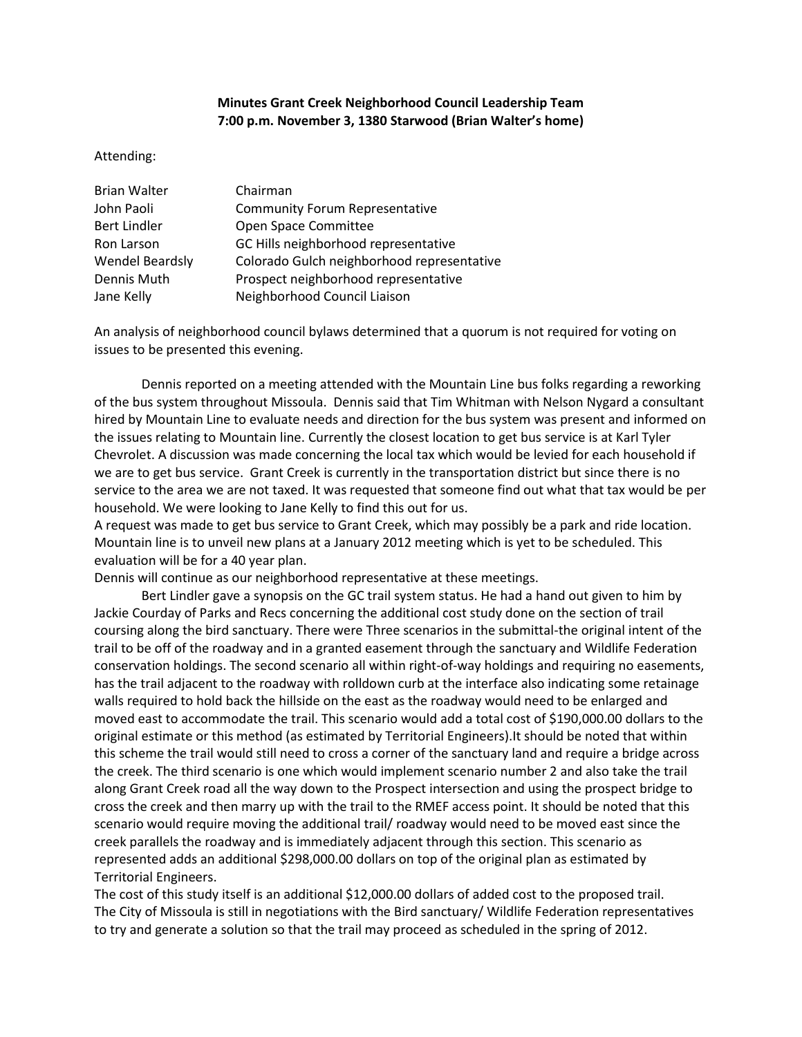## **Minutes Grant Creek Neighborhood Council Leadership Team 7:00 p.m. November 3, 1380 Starwood (Brian Walter's home)**

## Attending:

| <b>Brian Walter</b>    | Chairman                                   |
|------------------------|--------------------------------------------|
| John Paoli             | <b>Community Forum Representative</b>      |
| <b>Bert Lindler</b>    | Open Space Committee                       |
| Ron Larson             | GC Hills neighborhood representative       |
| <b>Wendel Beardsly</b> | Colorado Gulch neighborhood representative |
| Dennis Muth            | Prospect neighborhood representative       |
| Jane Kelly             | Neighborhood Council Liaison               |

An analysis of neighborhood council bylaws determined that a quorum is not required for voting on issues to be presented this evening.

Dennis reported on a meeting attended with the Mountain Line bus folks regarding a reworking of the bus system throughout Missoula. Dennis said that Tim Whitman with Nelson Nygard a consultant hired by Mountain Line to evaluate needs and direction for the bus system was present and informed on the issues relating to Mountain line. Currently the closest location to get bus service is at Karl Tyler Chevrolet. A discussion was made concerning the local tax which would be levied for each household if we are to get bus service. Grant Creek is currently in the transportation district but since there is no service to the area we are not taxed. It was requested that someone find out what that tax would be per household. We were looking to Jane Kelly to find this out for us.

A request was made to get bus service to Grant Creek, which may possibly be a park and ride location. Mountain line is to unveil new plans at a January 2012 meeting which is yet to be scheduled. This evaluation will be for a 40 year plan.

Dennis will continue as our neighborhood representative at these meetings.

Bert Lindler gave a synopsis on the GC trail system status. He had a hand out given to him by Jackie Courday of Parks and Recs concerning the additional cost study done on the section of trail coursing along the bird sanctuary. There were Three scenarios in the submittal-the original intent of the trail to be off of the roadway and in a granted easement through the sanctuary and Wildlife Federation conservation holdings. The second scenario all within right-of-way holdings and requiring no easements, has the trail adjacent to the roadway with rolldown curb at the interface also indicating some retainage walls required to hold back the hillside on the east as the roadway would need to be enlarged and moved east to accommodate the trail. This scenario would add a total cost of \$190,000.00 dollars to the original estimate or this method (as estimated by Territorial Engineers).It should be noted that within this scheme the trail would still need to cross a corner of the sanctuary land and require a bridge across the creek. The third scenario is one which would implement scenario number 2 and also take the trail along Grant Creek road all the way down to the Prospect intersection and using the prospect bridge to cross the creek and then marry up with the trail to the RMEF access point. It should be noted that this scenario would require moving the additional trail/ roadway would need to be moved east since the creek parallels the roadway and is immediately adjacent through this section. This scenario as represented adds an additional \$298,000.00 dollars on top of the original plan as estimated by Territorial Engineers.

The cost of this study itself is an additional \$12,000.00 dollars of added cost to the proposed trail. The City of Missoula is still in negotiations with the Bird sanctuary/ Wildlife Federation representatives to try and generate a solution so that the trail may proceed as scheduled in the spring of 2012.